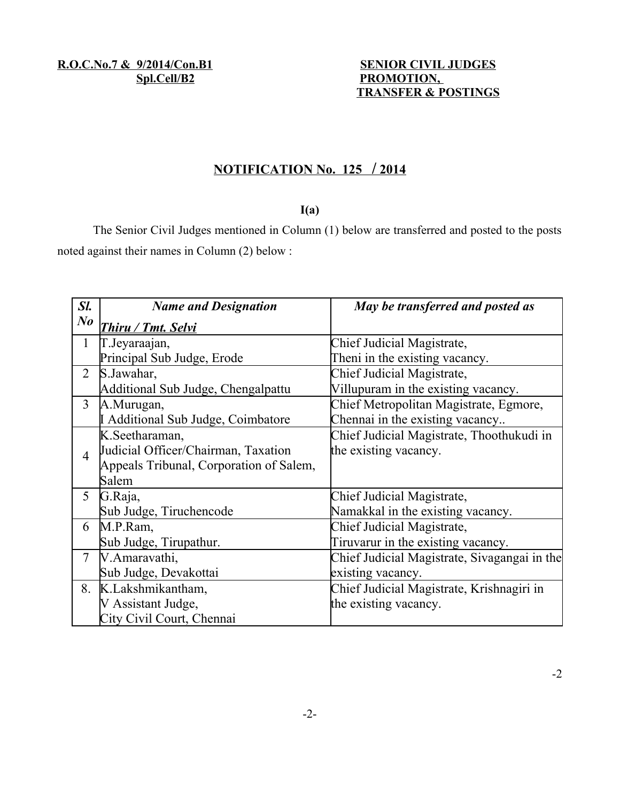# Spl.Cell/B2 PROMOTION,  **TRANSFER & POSTINGS**

## **N OTIFICATION No. 125 / 2014**

#### **I(a)**

The Senior Civil Judges mentioned in Column (1) below are transferred and posted to the posts noted against their names in Column (2) below :

| Sl.                  | <b>Name and Designation</b>             | May be transferred and posted as             |
|----------------------|-----------------------------------------|----------------------------------------------|
| $N_{\boldsymbol{0}}$ | Thiru / Tmt. Selvi                      |                                              |
| $\mathbf{1}$         | T.Jeyaraajan,                           | Chief Judicial Magistrate,                   |
|                      | Principal Sub Judge, Erode              | Then in the existing vacancy.                |
| $\overline{2}$       | S.Jawahar,                              | Chief Judicial Magistrate,                   |
|                      | Additional Sub Judge, Chengalpattu      | Villupuram in the existing vacancy.          |
| $\overline{3}$       | A.Murugan,                              | Chief Metropolitan Magistrate, Egmore,       |
|                      | I Additional Sub Judge, Coimbatore      | Chennai in the existing vacancy              |
|                      | K.Seetharaman,                          | Chief Judicial Magistrate, Thoothukudi in    |
| $\overline{4}$       | Judicial Officer/Chairman, Taxation     | the existing vacancy.                        |
|                      | Appeals Tribunal, Corporation of Salem, |                                              |
|                      | Salem                                   |                                              |
| 5                    | G.Raja,                                 | Chief Judicial Magistrate,                   |
|                      | Sub Judge, Tiruchencode                 | Namakkal in the existing vacancy.            |
| 6                    | M.P.Ram,                                | Chief Judicial Magistrate,                   |
|                      | Sub Judge, Tirupathur.                  | Tiruvarur in the existing vacancy.           |
| $\overline{7}$       | V.Amaravathi,                           | Chief Judicial Magistrate, Sivagangai in the |
|                      | Sub Judge, Devakottai                   | existing vacancy.                            |
|                      | 8. K.Lakshmikantham,                    | Chief Judicial Magistrate, Krishnagiri in    |
|                      | V Assistant Judge,                      | the existing vacancy.                        |
|                      | City Civil Court, Chennai               |                                              |

-2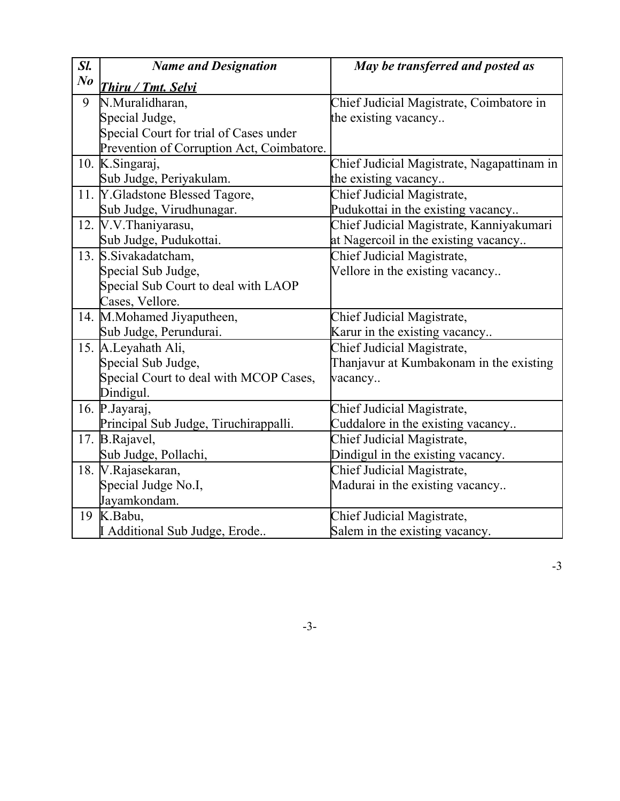| Sl.            | <b>Name and Designation</b>               | May be transferred and posted as           |
|----------------|-------------------------------------------|--------------------------------------------|
| $\bm{N}\bm{o}$ | <b>Thiru / Tmt. Selvi</b>                 |                                            |
| 9              | N.Muralidharan,                           | Chief Judicial Magistrate, Coimbatore in   |
|                | Special Judge,                            | the existing vacancy                       |
|                | Special Court for trial of Cases under    |                                            |
|                | Prevention of Corruption Act, Coimbatore. |                                            |
|                | 10. K.Singaraj,                           | Chief Judicial Magistrate, Nagapattinam in |
|                | Sub Judge, Periyakulam.                   | the existing vacancy                       |
|                | 11. Y. Gladstone Blessed Tagore,          | Chief Judicial Magistrate,                 |
|                | Sub Judge, Virudhunagar.                  | Pudukottai in the existing vacancy         |
|                | 12. V.V. Thaniyarasu,                     | Chief Judicial Magistrate, Kanniyakumari   |
|                | Sub Judge, Pudukottai.                    | at Nagercoil in the existing vacancy       |
|                | 13. S.Sivakadatcham,                      | Chief Judicial Magistrate,                 |
|                | Special Sub Judge,                        | Vellore in the existing vacancy            |
|                | Special Sub Court to deal with LAOP       |                                            |
|                | Cases, Vellore.                           |                                            |
|                | 14. M.Mohamed Jiyaputheen,                | Chief Judicial Magistrate,                 |
|                | Sub Judge, Perundurai.                    | Karur in the existing vacancy              |
|                | 15. A.Leyahath Ali,                       | Chief Judicial Magistrate,                 |
|                | Special Sub Judge,                        | Thanjavur at Kumbakonam in the existing    |
|                | Special Court to deal with MCOP Cases,    | vacancy                                    |
|                | Dindigul.                                 |                                            |
|                | 16. P. Jayaraj,                           | Chief Judicial Magistrate,                 |
|                | Principal Sub Judge, Tiruchirappalli.     | Cuddalore in the existing vacancy          |
|                | 17. B.Rajavel,                            | Chief Judicial Magistrate,                 |
|                | Sub Judge, Pollachi,                      | Dindigul in the existing vacancy.          |
|                | 18. V.Rajasekaran,                        | Chief Judicial Magistrate,                 |
|                | Special Judge No.I,                       | Madurai in the existing vacancy            |
|                | Jayamkondam.                              |                                            |
| 19             | K.Babu,                                   | Chief Judicial Magistrate,                 |
|                | LAdditional Sub Judge, Erode              | Salem in the existing vacancy.             |

-3-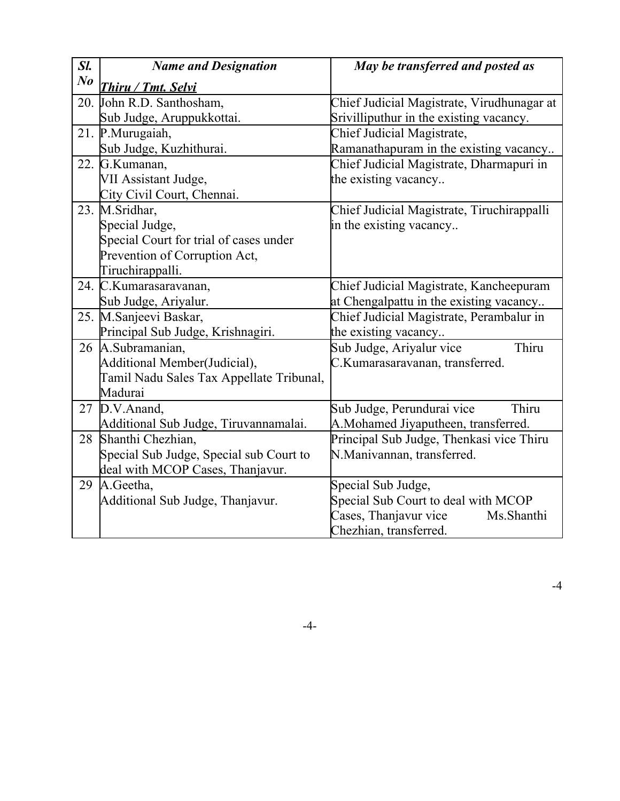| Sl.     | <b>Name and Designation</b>              | May be transferred and posted as           |
|---------|------------------------------------------|--------------------------------------------|
| $N_{0}$ | Thiru / Tmt. Selvi                       |                                            |
|         | 20. John R.D. Santhosham,                | Chief Judicial Magistrate, Virudhunagar at |
|         | Sub Judge, Aruppukkottai.                | Srivilliputhur in the existing vacancy.    |
|         | 21. P.Murugaiah,                         | Chief Judicial Magistrate,                 |
|         | Sub Judge, Kuzhithurai.                  | Ramanathapuram in the existing vacancy     |
|         | 22. G.Kumanan,                           | Chief Judicial Magistrate, Dharmapuri in   |
|         | VII Assistant Judge,                     | the existing vacancy                       |
|         | City Civil Court, Chennai.               |                                            |
|         | 23. M.Sridhar,                           | Chief Judicial Magistrate, Tiruchirappalli |
|         | Special Judge,                           | in the existing vacancy                    |
|         | Special Court for trial of cases under   |                                            |
|         | Prevention of Corruption Act,            |                                            |
|         | Tiruchirappalli.                         |                                            |
|         | 24. C.Kumarasaravanan,                   | Chief Judicial Magistrate, Kancheepuram    |
|         | Sub Judge, Ariyalur.                     | at Chengalpattu in the existing vacancy    |
|         | 25. M.Sanjeevi Baskar,                   | Chief Judicial Magistrate, Perambalur in   |
|         | Principal Sub Judge, Krishnagiri.        | the existing vacancy                       |
|         | 26 A.Subramanian,                        | Thiru<br>Sub Judge, Ariyalur vice          |
|         | Additional Member(Judicial),             | C.Kumarasaravanan, transferred.            |
|         | Tamil Nadu Sales Tax Appellate Tribunal, |                                            |
|         | Madurai                                  |                                            |
|         | 27 D.V.Anand,                            | Thiru<br>Sub Judge, Perundurai vice        |
|         | Additional Sub Judge, Tiruvannamalai.    | A.Mohamed Jiyaputheen, transferred.        |
| 28      | Shanthi Chezhian,                        | Principal Sub Judge, Thenkasi vice Thiru   |
|         | Special Sub Judge, Special sub Court to  | N.Manivannan, transferred.                 |
|         | deal with MCOP Cases, Thanjavur.         |                                            |
| 29      | A.Geetha,                                | Special Sub Judge,                         |
|         | Additional Sub Judge, Thanjavur.         | Special Sub Court to deal with MCOP        |
|         |                                          | Cases, Thanjavur vice<br>Ms.Shanthi        |
|         |                                          | Chezhian, transferred.                     |

-4-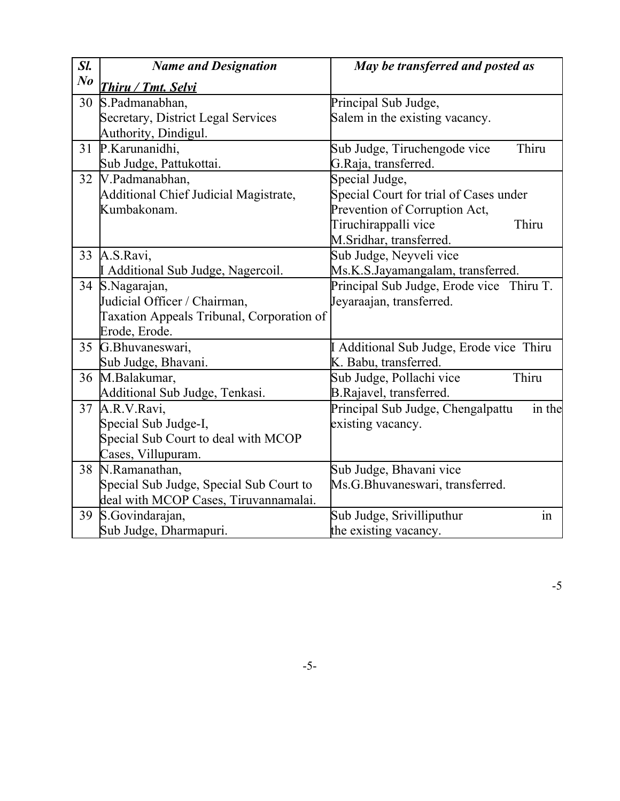| Sl.        | <b>Name and Designation</b>               | May be transferred and posted as            |
|------------|-------------------------------------------|---------------------------------------------|
| $\bm{N}$ o | <u>Thiru / Tmt. Selvi</u>                 |                                             |
| 30         | S.Padmanabhan,                            | Principal Sub Judge,                        |
|            | Secretary, District Legal Services        | Salem in the existing vacancy.              |
|            | Authority, Dindigul.                      |                                             |
| 31         | P.Karunanidhi,                            | Thiru<br>Sub Judge, Tiruchengode vice       |
|            | Sub Judge, Pattukottai.                   | G.Raja, transferred.                        |
|            | $\overline{32}$   V. Padmanabhan,         | Special Judge,                              |
|            | Additional Chief Judicial Magistrate,     | Special Court for trial of Cases under      |
|            | Kumbakonam.                               | Prevention of Corruption Act,               |
|            |                                           | Tiruchirappalli vice<br>Thiru               |
|            |                                           | M.Sridhar, transferred.                     |
| 33         | A.S.Ravi,                                 | Sub Judge, Neyveli vice                     |
|            | I Additional Sub Judge, Nagercoil.        | Ms.K.S.Jayamangalam, transferred.           |
|            | 34 S.Nagarajan,                           | Principal Sub Judge, Erode vice Thiru T.    |
|            | Judicial Officer / Chairman,              | Jeyaraajan, transferred.                    |
|            | Taxation Appeals Tribunal, Corporation of |                                             |
|            | Erode, Erode.                             |                                             |
|            | 35 G.Bhuvaneswari,                        | I Additional Sub Judge, Erode vice Thiru    |
|            | Sub Judge, Bhavani.                       | K. Babu, transferred.                       |
|            | 36 M.Balakumar,                           | Thiru<br>Sub Judge, Pollachi vice           |
|            | Additional Sub Judge, Tenkasi.            | B.Rajavel, transferred.                     |
|            | 37 A.R.V.Ravi,                            | in the<br>Principal Sub Judge, Chengalpattu |
|            | Special Sub Judge-I,                      | existing vacancy.                           |
|            | Special Sub Court to deal with MCOP       |                                             |
|            | Cases, Villupuram.                        |                                             |
| 38         | N.Ramanathan,                             | Sub Judge, Bhavani vice                     |
|            | Special Sub Judge, Special Sub Court to   | Ms.G.Bhuvaneswari, transferred.             |
|            | deal with MCOP Cases, Tiruvannamalai.     |                                             |
| 39         | S.Govindarajan,                           | in<br>Sub Judge, Srivilliputhur             |
|            | Sub Judge, Dharmapuri.                    | the existing vacancy.                       |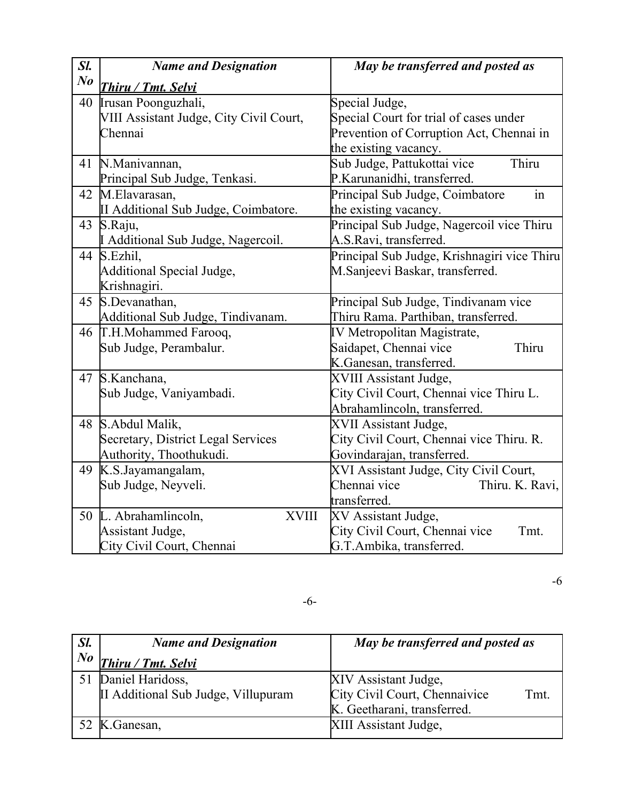| Sl.            | <b>Name and Designation</b>             | May be transferred and posted as            |
|----------------|-----------------------------------------|---------------------------------------------|
| N <sub>o</sub> | <b>Thiru / Tmt. Selvi</b>               |                                             |
| 40             | Irusan Poonguzhali,                     | Special Judge,                              |
|                | VIII Assistant Judge, City Civil Court, | Special Court for trial of cases under      |
|                | Chennai                                 | Prevention of Corruption Act, Chennai in    |
|                |                                         | the existing vacancy.                       |
|                | 41 N.Manivannan,                        | Thiru<br>Sub Judge, Pattukottai vice        |
|                | Principal Sub Judge, Tenkasi.           | P.Karunanidhi, transferred.                 |
|                | 42 M.Elavarasan,                        | Principal Sub Judge, Coimbatore<br>in       |
|                | II Additional Sub Judge, Coimbatore.    | the existing vacancy.                       |
| 43             | S.Raju,                                 | Principal Sub Judge, Nagercoil vice Thiru   |
|                | I Additional Sub Judge, Nagercoil.      | A.S.Ravi, transferred.                      |
| 44             | S.Ezhil,                                | Principal Sub Judge, Krishnagiri vice Thiru |
|                | Additional Special Judge,               | M.Sanjeevi Baskar, transferred.             |
|                | Krishnagiri.                            |                                             |
| 45             | S.Devanathan,                           | Principal Sub Judge, Tindivanam vice        |
|                | Additional Sub Judge, Tindivanam.       | Thiru Rama. Parthiban, transferred.         |
|                | 46 T.H.Mohammed Farooq,                 | IV Metropolitan Magistrate,                 |
|                | Sub Judge, Perambalur.                  | Saidapet, Chennai vice<br>Thiru             |
|                |                                         | K.Ganesan, transferred.                     |
|                | 47 S.Kanchana,                          | XVIII Assistant Judge,                      |
|                | Sub Judge, Vaniyambadi.                 | City Civil Court, Chennai vice Thiru L.     |
|                |                                         | Abrahamlincoln, transferred.                |
|                | 48 S.Abdul Malik,                       | XVII Assistant Judge,                       |
|                | Secretary, District Legal Services      | City Civil Court, Chennai vice Thiru. R.    |
|                | Authority, Thoothukudi.                 | Govindarajan, transferred.                  |
|                | 49 K.S.Jayamangalam,                    | XVI Assistant Judge, City Civil Court,      |
|                | Sub Judge, Neyveli.                     | Chennai vice<br>Thiru. K. Ravi,             |
|                |                                         | transferred.                                |
| 50             | L. Abrahamlincoln,<br><b>XVIII</b>      | XV Assistant Judge,                         |
|                | Assistant Judge,                        | City Civil Court, Chennai vice<br>Tmt.      |
|                | City Civil Court, Chennai               | G.T.Ambika, transferred.                    |

-6

-6-

| Sl.     | <b>Name and Designation</b>         | May be transferred and posted as      |
|---------|-------------------------------------|---------------------------------------|
| $N_{0}$ | Thiru / Tmt. Selvi                  |                                       |
|         | 51 Daniel Haridoss,                 | XIV Assistant Judge,                  |
|         | II Additional Sub Judge, Villupuram | City Civil Court, Chennaivice<br>Tmt. |
|         |                                     | K. Geetharani, transferred.           |
|         | 52 K. Ganesan,                      | XIII Assistant Judge,                 |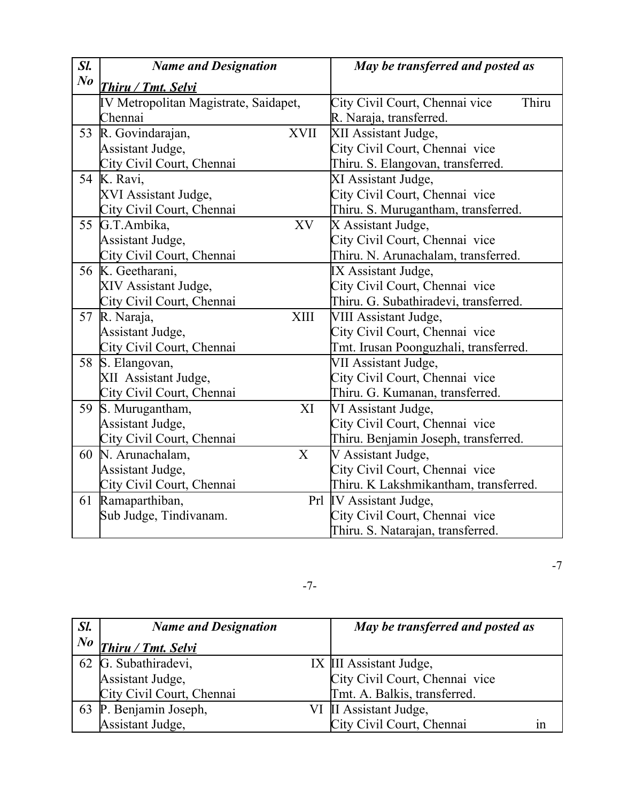| Sl.     | <b>Name and Designation</b>           | May be transferred and posted as        |
|---------|---------------------------------------|-----------------------------------------|
| $N_{0}$ | <b>Thiru / Tmt. Selvi</b>             |                                         |
|         | IV Metropolitan Magistrate, Saidapet, | Thiru<br>City Civil Court, Chennai vice |
|         | Chennai                               | R. Naraja, transferred.                 |
| 53      | R. Govindarajan,<br><b>XVII</b>       | XII Assistant Judge,                    |
|         | Assistant Judge,                      | City Civil Court, Chennai vice          |
|         | City Civil Court, Chennai             | Thiru. S. Elangovan, transferred.       |
|         | 54 K. Ravi,                           | XI Assistant Judge,                     |
|         | XVI Assistant Judge,                  | City Civil Court, Chennai vice          |
|         | City Civil Court, Chennai             | Thiru. S. Murugantham, transferred.     |
|         | 55 G.T.Ambika,<br>XV                  | X Assistant Judge,                      |
|         | Assistant Judge,                      | City Civil Court, Chennai vice          |
|         | City Civil Court, Chennai             | Thiru. N. Arunachalam, transferred.     |
|         | 56 K. Geetharani,                     | IX Assistant Judge,                     |
|         | XIV Assistant Judge,                  | City Civil Court, Chennai vice          |
|         | City Civil Court, Chennai             | Thiru. G. Subathiradevi, transferred.   |
|         | <b>XIII</b><br>57 R. Naraja,          | VIII Assistant Judge,                   |
|         | Assistant Judge,                      | City Civil Court, Chennai vice          |
|         | City Civil Court, Chennai             | Tmt. Irusan Poonguzhali, transferred.   |
| 58      | S. Elangovan,                         | VII Assistant Judge,                    |
|         | XII Assistant Judge,                  | City Civil Court, Chennai vice          |
|         | City Civil Court, Chennai             | Thiru. G. Kumanan, transferred.         |
| 59      | S. Murugantham,<br>XI                 | VI Assistant Judge,                     |
|         | Assistant Judge,                      | City Civil Court, Chennai vice          |
|         | City Civil Court, Chennai             | Thiru. Benjamin Joseph, transferred.    |
|         | $\overline{X}$<br>60 N. Arunachalam,  | V Assistant Judge,                      |
|         | Assistant Judge,                      | City Civil Court, Chennai vice          |
|         | City Civil Court, Chennai             | Thiru. K Lakshmikantham, transferred.   |
|         | 61 Ramaparthiban,                     | Prl IV Assistant Judge,                 |
|         | Sub Judge, Tindivanam.                | City Civil Court, Chennai vice          |
|         |                                       | Thiru. S. Natarajan, transferred.       |

-7-

| Sl.     | <b>Name and Designation</b> | May be transferred and posted as             |
|---------|-----------------------------|----------------------------------------------|
| $N_{0}$ | <b>Thiru / Tmt. Selvi</b>   |                                              |
|         | 62 G. Subathiradevi,        | IX III Assistant Judge,                      |
|         | Assistant Judge,            | City Civil Court, Chennai vice               |
|         | City Civil Court, Chennai   | Tmt. A. Balkis, transferred.                 |
|         | 63 P. Benjamin Joseph,      | VI II Assistant Judge,                       |
|         | Assistant Judge,            | City Civil Court, Chennai<br>$\bullet$<br>1n |

-7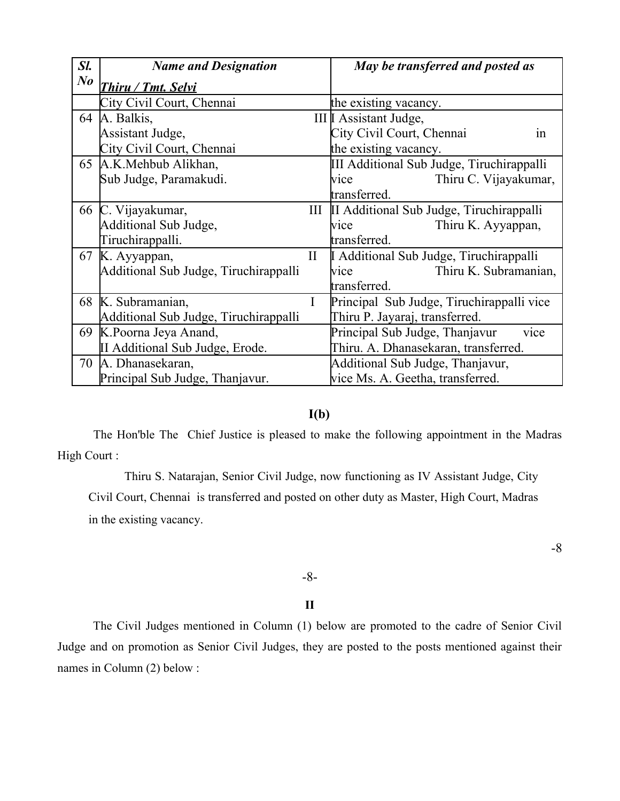| Sl.     | <b>Name and Designation</b>           |          | May be transferred and posted as             |
|---------|---------------------------------------|----------|----------------------------------------------|
| $N_{0}$ | <u>Thiru / Tmt. Selvi</u>             |          |                                              |
|         | City Civil Court, Chennai             |          | the existing vacancy.                        |
| 64      | A. Balkis,                            |          | III I Assistant Judge,                       |
|         | Assistant Judge,                      |          | City Civil Court, Chennai<br>1n              |
|         | City Civil Court, Chennai             |          | the existing vacancy.                        |
|         | 65 A.K.Mehbub Alikhan,                |          | III Additional Sub Judge, Tiruchirappalli    |
|         | Sub Judge, Paramakudi.                |          | Thiru C. Vijayakumar,<br>vice                |
|         |                                       |          | transferred.                                 |
| 66      | C. Vijayakumar,                       |          | III II Additional Sub Judge, Tiruchirappalli |
|         | Additional Sub Judge,                 |          | Thiru K. Ayyappan,<br>vice                   |
|         | Tiruchirappalli.                      |          | transferred.                                 |
| 67      | K. Ayyappan,                          | $\rm II$ | LAdditional Sub Judge, Tiruchirappalli       |
|         | Additional Sub Judge, Tiruchirappalli |          | Thiru K. Subramanian,<br><b>vice</b>         |
|         |                                       |          | transferred.                                 |
|         | 68 K. Subramanian,                    | I        | Principal Sub Judge, Tiruchirappalli vice    |
|         | Additional Sub Judge, Tiruchirappalli |          | Thiru P. Jayaraj, transferred.               |
| 69      | K.Poorna Jeya Anand,                  |          | Principal Sub Judge, Thanjavur<br>vice       |
|         | II Additional Sub Judge, Erode.       |          | Thiru. A. Dhanasekaran, transferred.         |
| 70      | A. Dhanasekaran,                      |          | Additional Sub Judge, Thanjavur,             |
|         | Principal Sub Judge, Thanjavur.       |          | vice Ms. A. Geetha, transferred.             |

## **I(b)**

The Hon'ble The Chief Justice is pleased to make the following appointment in the Madras High Court :

Thiru S. Natarajan, Senior Civil Judge, now functioning as IV Assistant Judge, City Civil Court, Chennai is transferred and posted on other duty as Master, High Court, Madras in the existing vacancy.

-8

### -8-

#### **II**

The Civil Judges mentioned in Column (1) below are promoted to the cadre of Senior Civil Judge and on promotion as Senior Civil Judges, they are posted to the posts mentioned against their names in Column (2) below :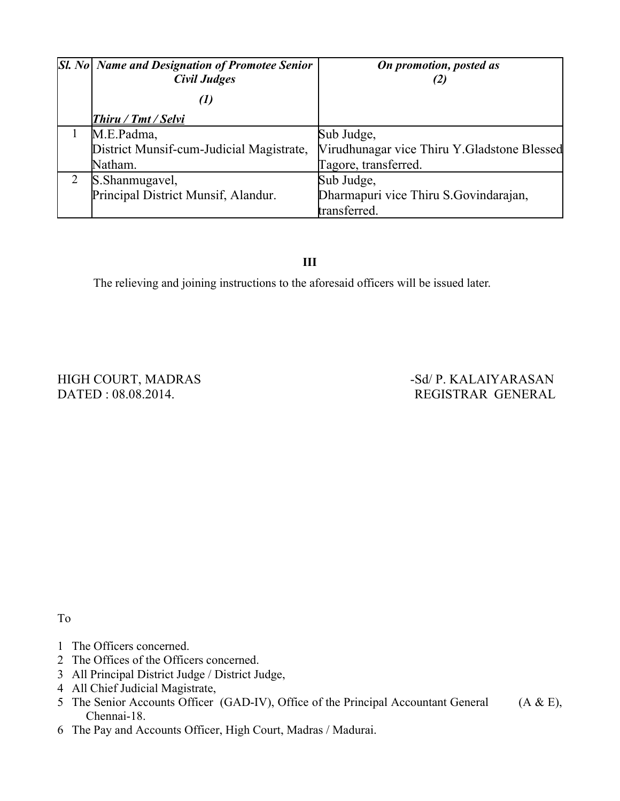| $ S1. No $ Name and Designation of Promotee Senior<br><b>Civil Judges</b> | On promotion, posted as                     |
|---------------------------------------------------------------------------|---------------------------------------------|
| (1)                                                                       |                                             |
| <b>Thiru / Tmt / Selvi</b>                                                |                                             |
| M.E.Padma,                                                                | Sub Judge,                                  |
| District Munsif-cum-Judicial Magistrate,                                  | Virudhunagar vice Thiru Y.Gladstone Blessed |
| Natham.                                                                   | Tagore, transferred.                        |
| S. Shanmugavel,                                                           | Sub Judge,                                  |
| Principal District Munsif, Alandur.                                       | Dharmapuri vice Thiru S.Govindarajan,       |
|                                                                           | transferred.                                |

**III**

The relieving and joining instructions to the aforesaid officers will be issued later.

HIGH COURT, MADRAS -Sd/ P. KALAIYARASAN

DATED : 08.08.2014. REGISTRAR GENERAL

To

- 1 The Officers concerned.
- 2 The Offices of the Officers concerned.
- 3 All Principal District Judge / District Judge,
- 4 All Chief Judicial Magistrate,
- 5 The Senior Accounts Officer (GAD-IV), Office of the Principal Accountant General (A & E), Chennai-18.
- 6 The Pay and Accounts Officer, High Court, Madras / Madurai.